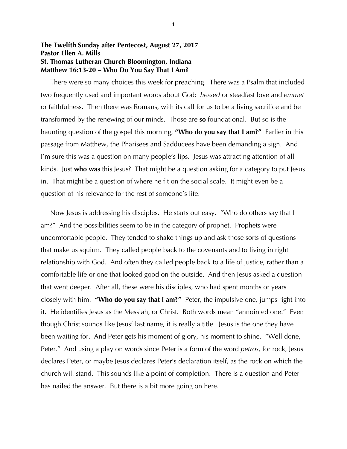## **The Twelfth Sunday after Pentecost, August 27, 2017 Pastor Ellen A. Mills St. Thomas Lutheran Church Bloomington, Indiana Matthew 16:13-20 – Who Do You Say That I Am?**

 There were so many choices this week for preaching. There was a Psalm that included two frequently used and important words about God: *hessed* or steadfast love and *emmet* or faithfulness. Then there was Romans, with its call for us to be a living sacrifice and be transformed by the renewing of our minds. Those are **so** foundational. But so is the haunting question of the gospel this morning, **"Who do you say that I am?"** Earlier in this passage from Matthew, the Pharisees and Sadducees have been demanding a sign. And I'm sure this was a question on many people's lips. Jesus was attracting attention of all kinds. Just **who was** this Jesus? That might be a question asking for a category to put Jesus in. That might be a question of where he fit on the social scale. It might even be a question of his relevance for the rest of someone's life.

 Now Jesus is addressing his disciples. He starts out easy. "Who do others say that I am?" And the possibilities seem to be in the category of prophet. Prophets were uncomfortable people. They tended to shake things up and ask those sorts of questions that make us squirm. They called people back to the covenants and to living in right relationship with God. And often they called people back to a life of justice, rather than a comfortable life or one that looked good on the outside. And then Jesus asked a question that went deeper. After all, these were his disciples, who had spent months or years closely with him. **"Who do you say that I am?"** Peter, the impulsive one, jumps right into it. He identifies Jesus as the Messiah, or Christ. Both words mean "annointed one." Even though Christ sounds like Jesus' last name, it is really a title. Jesus is the one they have been waiting for. And Peter gets his moment of glory, his moment to shine. "Well done, Peter." And using a play on words since Peter is a form of the word *petros*, for rock, Jesus declares Peter, or maybe Jesus declares Peter's declaration itself, as the rock on which the church will stand. This sounds like a point of completion. There is a question and Peter has nailed the answer. But there is a bit more going on here.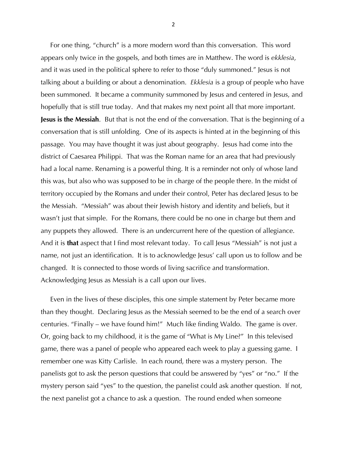For one thing, "church" is a more modern word than this conversation. This word appears only twice in the gospels, and both times are in Matthew. The word is *ekklesia*, and it was used in the political sphere to refer to those "duly summoned." Jesus is not talking about a building or about a denomination. *Ekklesia* is a group of people who have been summoned. It became a community summoned by Jesus and centered in Jesus, and hopefully that is still true today. And that makes my next point all that more important. **Jesus is the Messiah**. But that is not the end of the conversation. That is the beginning of a conversation that is still unfolding. One of its aspects is hinted at in the beginning of this passage. You may have thought it was just about geography. Jesus had come into the district of Caesarea Philippi. That was the Roman name for an area that had previously had a local name. Renaming is a powerful thing. It is a reminder not only of whose land this was, but also who was supposed to be in charge of the people there. In the midst of territory occupied by the Romans and under their control, Peter has declared Jesus to be the Messiah. "Messiah" was about their Jewish history and identity and beliefs, but it wasn't just that simple. For the Romans, there could be no one in charge but them and any puppets they allowed. There is an undercurrent here of the question of allegiance. And it is **that** aspect that I find most relevant today. To call Jesus "Messiah" is not just a name, not just an identification. It is to acknowledge Jesus' call upon us to follow and be changed. It is connected to those words of living sacrifice and transformation. Acknowledging Jesus as Messiah is a call upon our lives.

 Even in the lives of these disciples, this one simple statement by Peter became more than they thought. Declaring Jesus as the Messiah seemed to be the end of a search over centuries. "Finally – we have found him!" Much like finding Waldo. The game is over. Or, going back to my childhood, it is the game of "What is My Line?" In this televised game, there was a panel of people who appeared each week to play a guessing game. I remember one was Kitty Carlisle. In each round, there was a mystery person. The panelists got to ask the person questions that could be answered by "yes" or "no." If the mystery person said "yes" to the question, the panelist could ask another question. If not, the next panelist got a chance to ask a question. The round ended when someone

2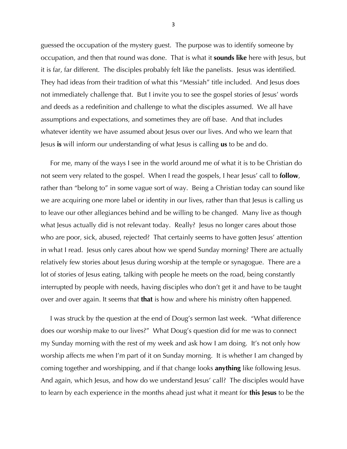guessed the occupation of the mystery guest. The purpose was to identify someone by occupation, and then that round was done. That is what it **sounds like** here with Jesus, but it is far, far different. The disciples probably felt like the panelists. Jesus was identified. They had ideas from their tradition of what this "Messiah" title included. And Jesus does not immediately challenge that. But I invite you to see the gospel stories of Jesus' words and deeds as a redefinition and challenge to what the disciples assumed. We all have assumptions and expectations, and sometimes they are off base. And that includes whatever identity we have assumed about Jesus over our lives. And who we learn that Jesus **is** will inform our understanding of what Jesus is calling **us** to be and do.

 For me, many of the ways I see in the world around me of what it is to be Christian do not seem very related to the gospel. When I read the gospels, I hear Jesus' call to **follow**, rather than "belong to" in some vague sort of way. Being a Christian today can sound like we are acquiring one more label or identity in our lives, rather than that Jesus is calling us to leave our other allegiances behind and be willing to be changed. Many live as though what Jesus actually did is not relevant today. Really? Jesus no longer cares about those who are poor, sick, abused, rejected? That certainly seems to have gotten Jesus' attention in what I read. Jesus only cares about how we spend Sunday morning? There are actually relatively few stories about Jesus during worship at the temple or synagogue. There are a lot of stories of Jesus eating, talking with people he meets on the road, being constantly interrupted by people with needs, having disciples who don't get it and have to be taught over and over again. It seems that **that** is how and where his ministry often happened.

 I was struck by the question at the end of Doug's sermon last week. "What difference does our worship make to our lives?" What Doug's question did for me was to connect my Sunday morning with the rest of my week and ask how I am doing. It's not only how worship affects me when I'm part of it on Sunday morning. It is whether I am changed by coming together and worshipping, and if that change looks **anything** like following Jesus. And again, which Jesus, and how do we understand Jesus' call? The disciples would have to learn by each experience in the months ahead just what it meant for **this Jesus** to be the

3